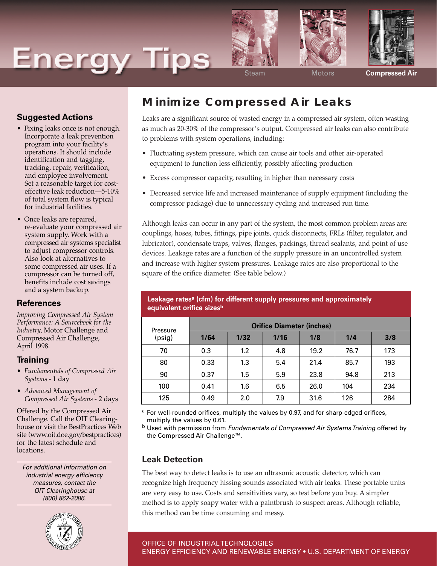# **Energy Tips**







Steam Motors **Compressed Air**

## **Suggested Actions**

- Fixing leaks once is not enough. Incorporate a leak prevention program into your facility's operations. It should include identification and tagging, tracking, repair, verification, and employee involvement. Set a reasonable target for costeffective leak reduction—5-10% of total system flow is typical for industrial facilities.
- Once leaks are repaired, re-evaluate your compressed air system supply. Work with a compressed air systems specialist to adjust compressor controls. Also look at alternatives to some compressed air uses. If a compressor can be turned off, benefits include cost savings and a system backup.

#### **References**

*Improving Compressed Air System Performance: A Sourcebook for the Industry,* Motor Challenge and Compressed Air Challenge, April 1998.

#### **Training**

- *Fundamentals of Compressed Air Systems* - 1 day
- *Advanced Management of Compressed Air Systems* - 2 days

Offered by the Compressed Air Challenge. Call the OIT Clearinghouse or visit the BestPractices Web site (www.oit.doe.gov/bestpractices) for the latest schedule and locations.

For additional information on industrial energy efficiency measures, contact the OIT Clearinghouse at (800) 862-2086.



## **Minimize Compressed Air Leaks**

Leaks are a significant source of wasted energy in a compressed air system, often wasting as much as 20-30% of the compressor's output. Compressed air leaks can also contribute to problems with system operations, including:

- Fluctuating system pressure, which can cause air tools and other air-operated equipment to function less efficiently, possibly affecting production
- Excess compressor capacity, resulting in higher than necessary costs
- Decreased service life and increased maintenance of supply equipment (including the compressor package) due to unnecessary cycling and increased run time.

Although leaks can occur in any part of the system, the most common problem areas are: couplings, hoses, tubes, fittings, pipe joints, quick disconnects, FRLs (filter, regulator, and lubricator), condensate traps, valves, flanges, packings, thread sealants, and point of use devices. Leakage rates are a function of the supply pressure in an uncontrolled system and increase with higher system pressures. Leakage rates are also proportional to the square of the orifice diameter. (See table below.)

| Pressure<br>(psig) | <b>Orifice Diameter (inches)</b> |      |      |      |      |     |
|--------------------|----------------------------------|------|------|------|------|-----|
|                    | 1/64                             | 1/32 | 1/16 | 1/8  | 1/4  | 3/8 |
| 70                 | 0.3                              | 1.2  | 4.8  | 19.2 | 76.7 | 173 |
| 80                 | 0.33                             | 1.3  | 5.4  | 21.4 | 85.7 | 193 |
| 90                 | 0.37                             | 1.5  | 5.9  | 23.8 | 94.8 | 213 |
| 100                | 0.41                             | 1.6  | 6.5  | 26.0 | 104  | 234 |
| 125                | 0.49                             | 2.0  | 7.9  | 31.6 | 126  | 284 |

#### **Leakage ratesa (cfm) for different supply pressures and approximately equivalent orifice sizesb**

a For well-rounded orifices, multiply the values by 0.97, and for sharp-edged orifices, multiply the values by 0.61.

b Used with permission from Fundamentals of Compressed Air Systems Training offered by the Compressed Air Challenge™.

## **Leak Detection**

The best way to detect leaks is to use an ultrasonic acoustic detector, which can recognize high frequency hissing sounds associated with air leaks. These portable units are very easy to use. Costs and sensitivities vary, so test before you buy. A simpler method is to apply soapy water with a paintbrush to suspect areas. Although reliable, this method can be time consuming and messy.